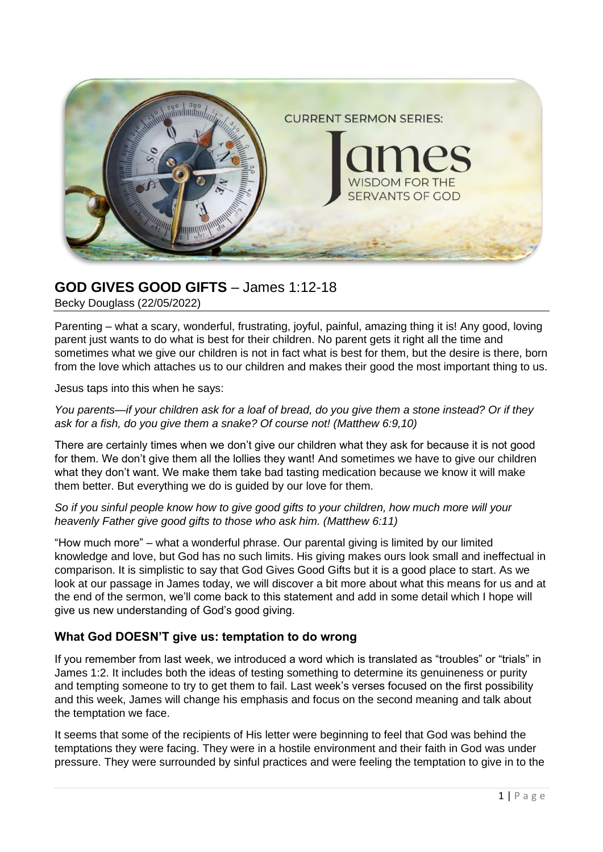

# **GOD GIVES GOOD GIFTS** – James 1:12-18

Becky Douglass (22/05/2022)

Parenting – what a scary, wonderful, frustrating, joyful, painful, amazing thing it is! Any good, loving parent just wants to do what is best for their children. No parent gets it right all the time and sometimes what we give our children is not in fact what is best for them, but the desire is there, born from the love which attaches us to our children and makes their good the most important thing to us.

Jesus taps into this when he says:

*You parents—if your children ask for a loaf of bread, do you give them a stone instead? Or if they ask for a fish, do you give them a snake? Of course not! (Matthew 6:9,10)*

There are certainly times when we don't give our children what they ask for because it is not good for them. We don't give them all the lollies they want! And sometimes we have to give our children what they don't want. We make them take bad tasting medication because we know it will make them better. But everything we do is guided by our love for them.

#### *So if you sinful people know how to give good gifts to your children, how much more will your heavenly Father give good gifts to those who ask him. (Matthew 6:11)*

"How much more" – what a wonderful phrase. Our parental giving is limited by our limited knowledge and love, but God has no such limits. His giving makes ours look small and ineffectual in comparison. It is simplistic to say that God Gives Good Gifts but it is a good place to start. As we look at our passage in James today, we will discover a bit more about what this means for us and at the end of the sermon, we'll come back to this statement and add in some detail which I hope will give us new understanding of God's good giving.

## **What God DOESN'T give us: temptation to do wrong**

If you remember from last week, we introduced a word which is translated as "troubles" or "trials" in James 1:2. It includes both the ideas of testing something to determine its genuineness or purity and tempting someone to try to get them to fail. Last week's verses focused on the first possibility and this week, James will change his emphasis and focus on the second meaning and talk about the temptation we face.

It seems that some of the recipients of His letter were beginning to feel that God was behind the temptations they were facing. They were in a hostile environment and their faith in God was under pressure. They were surrounded by sinful practices and were feeling the temptation to give in to the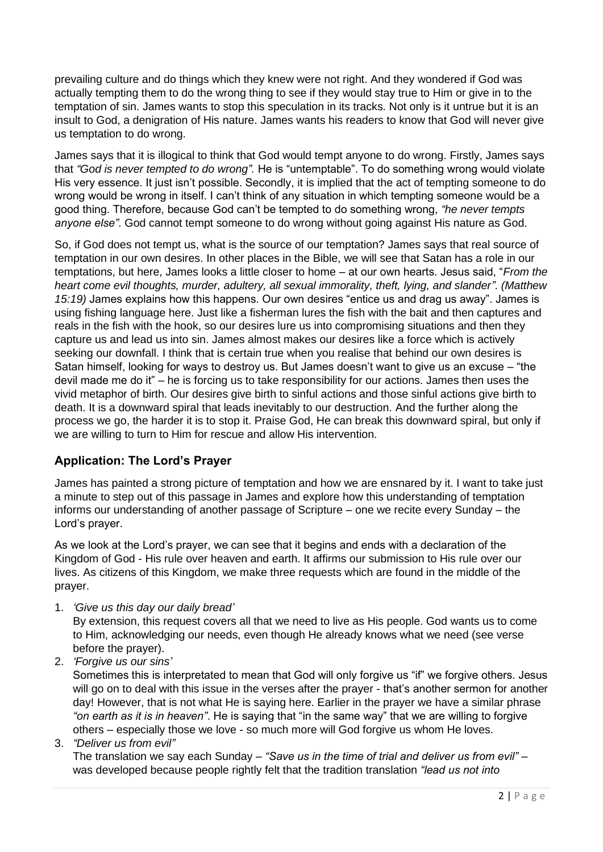prevailing culture and do things which they knew were not right. And they wondered if God was actually tempting them to do the wrong thing to see if they would stay true to Him or give in to the temptation of sin. James wants to stop this speculation in its tracks. Not only is it untrue but it is an insult to God, a denigration of His nature. James wants his readers to know that God will never give us temptation to do wrong.

James says that it is illogical to think that God would tempt anyone to do wrong. Firstly, James says that *"God is never tempted to do wrong".* He is "untemptable". To do something wrong would violate His very essence. It just isn't possible. Secondly, it is implied that the act of tempting someone to do wrong would be wrong in itself. I can't think of any situation in which tempting someone would be a good thing. Therefore, because God can't be tempted to do something wrong, *"he never tempts anyone else"*. God cannot tempt someone to do wrong without going against His nature as God.

So, if God does not tempt us, what is the source of our temptation? James says that real source of temptation in our own desires. In other places in the Bible, we will see that Satan has a role in our temptations, but here, James looks a little closer to home – at our own hearts. Jesus said, "*From the heart come evil thoughts, murder, adultery, all sexual immorality, theft, lying, and slander". (Matthew 15:19)* James explains how this happens. Our own desires "entice us and drag us away". James is using fishing language here. Just like a fisherman lures the fish with the bait and then captures and reals in the fish with the hook, so our desires lure us into compromising situations and then they capture us and lead us into sin. James almost makes our desires like a force which is actively seeking our downfall. I think that is certain true when you realise that behind our own desires is Satan himself, looking for ways to destroy us. But James doesn't want to give us an excuse – "the devil made me do it" – he is forcing us to take responsibility for our actions. James then uses the vivid metaphor of birth. Our desires give birth to sinful actions and those sinful actions give birth to death. It is a downward spiral that leads inevitably to our destruction. And the further along the process we go, the harder it is to stop it. Praise God, He can break this downward spiral, but only if we are willing to turn to Him for rescue and allow His intervention.

## **Application: The Lord's Prayer**

James has painted a strong picture of temptation and how we are ensnared by it. I want to take just a minute to step out of this passage in James and explore how this understanding of temptation informs our understanding of another passage of Scripture – one we recite every Sunday – the Lord's prayer.

As we look at the Lord's prayer, we can see that it begins and ends with a declaration of the Kingdom of God - His rule over heaven and earth. It affirms our submission to His rule over our lives. As citizens of this Kingdom, we make three requests which are found in the middle of the prayer.

1. *'Give us this day our daily bread'*

By extension, this request covers all that we need to live as His people. God wants us to come to Him, acknowledging our needs, even though He already knows what we need (see verse before the prayer).

2. *'Forgive us our sins'*

Sometimes this is interpretated to mean that God will only forgive us "if" we forgive others. Jesus will go on to deal with this issue in the verses after the prayer - that's another sermon for another day! However, that is not what He is saying here. Earlier in the prayer we have a similar phrase *"on earth as it is in heaven"*. He is saying that "in the same way" that we are willing to forgive others – especially those we love - so much more will God forgive us whom He loves.

3. *"Deliver us from evil"*

The translation we say each Sunday – *"Save us in the time of trial and deliver us from evil"* – was developed because people rightly felt that the tradition translation *"lead us not into*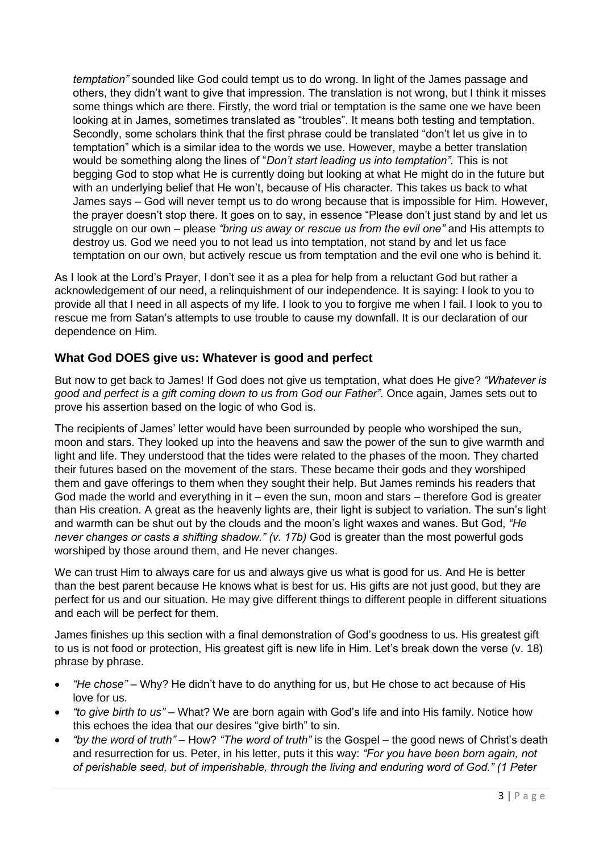*temptation"* sounded like God could tempt us to do wrong. In light of the James passage and others, they didn't want to give that impression. The translation is not wrong, but I think it misses some things which are there. Firstly, the word trial or temptation is the same one we have been looking at in James, sometimes translated as "troubles". It means both testing and temptation. Secondly, some scholars think that the first phrase could be translated "don't let us give in to temptation" which is a similar idea to the words we use. However, maybe a better translation would be something along the lines of "*Don't start leading us into temptation".* This is not begging God to stop what He is currently doing but looking at what He might do in the future but with an underlying belief that He won't, because of His character. This takes us back to what James says – God will never tempt us to do wrong because that is impossible for Him. However, the prayer doesn't stop there. It goes on to say, in essence "Please don't just stand by and let us struggle on our own – please *"bring us away or rescue us from the evil one"* and His attempts to destroy us. God we need you to not lead us into temptation, not stand by and let us face temptation on our own, but actively rescue us from temptation and the evil one who is behind it.

As I look at the Lord's Prayer, I don't see it as a plea for help from a reluctant God but rather a acknowledgement of our need, a relinquishment of our independence. It is saying: I look to you to provide all that I need in all aspects of my life. I look to you to forgive me when I fail. I look to you to rescue me from Satan's attempts to use trouble to cause my downfall. It is our declaration of our dependence on Him.

## **What God DOES give us: Whatever is good and perfect**

But now to get back to James! If God does not give us temptation, what does He give? *"Whatever is good and perfect is a gift coming down to us from God our Father".* Once again, James sets out to prove his assertion based on the logic of who God is.

The recipients of James' letter would have been surrounded by people who worshiped the sun, moon and stars. They looked up into the heavens and saw the power of the sun to give warmth and light and life. They understood that the tides were related to the phases of the moon. They charted their futures based on the movement of the stars. These became their gods and they worshiped them and gave offerings to them when they sought their help. But James reminds his readers that God made the world and everything in it – even the sun, moon and stars – therefore God is greater than His creation. A great as the heavenly lights are, their light is subject to variation. The sun's light and warmth can be shut out by the clouds and the moon's light waxes and wanes. But God, *"He never changes or casts a shifting shadow." (v. 17b)* God is greater than the most powerful gods worshiped by those around them, and He never changes.

We can trust Him to always care for us and always give us what is good for us. And He is better than the best parent because He knows what is best for us. His gifts are not just good, but they are perfect for us and our situation. He may give different things to different people in different situations and each will be perfect for them.

James finishes up this section with a final demonstration of God's goodness to us. His greatest gift to us is not food or protection, His greatest gift is new life in Him. Let's break down the verse (v. 18) phrase by phrase.

- *"He chose"* Why? He didn't have to do anything for us, but He chose to act because of His love for us.
- *"to give birth to us"* What? We are born again with God's life and into His family. Notice how this echoes the idea that our desires "give birth" to sin.
- *"by the word of truth"* How? *"The word of truth"* is the Gospel the good news of Christ's death and resurrection for us. Peter, in his letter, puts it this way: *"For you have been born again, not of perishable seed, but of imperishable, through the living and enduring word of God." (1 Peter*